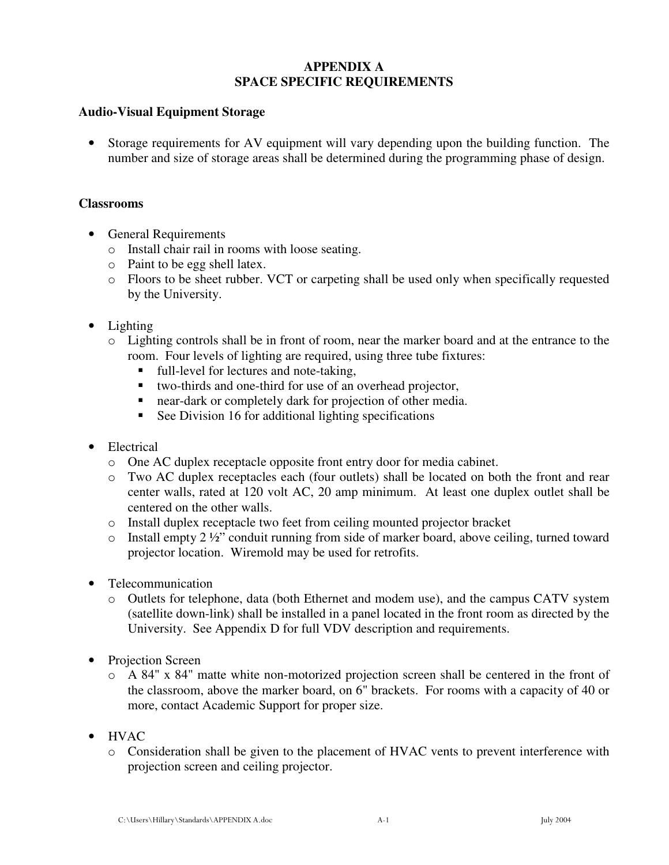# **APPENDIX A SPACE SPECIFIC REQUIREMENTS**

### **Audio-Visual Equipment Storage**

• Storage requirements for AV equipment will vary depending upon the building function. The number and size of storage areas shall be determined during the programming phase of design.

### **Classrooms**

- General Requirements
	- o Install chair rail in rooms with loose seating.
	- o Paint to be egg shell latex.
	- o Floors to be sheet rubber. VCT or carpeting shall be used only when specifically requested by the University.
- Lighting
	- o Lighting controls shall be in front of room, near the marker board and at the entrance to the room. Four levels of lighting are required, using three tube fixtures:
		- full-level for lectures and note-taking,
		- two-thirds and one-third for use of an overhead projector,
		- near-dark or completely dark for projection of other media.
		- **See Division 16 for additional lighting specifications**
- Electrical
	- o One AC duplex receptacle opposite front entry door for media cabinet.
	- o Two AC duplex receptacles each (four outlets) shall be located on both the front and rear center walls, rated at 120 volt AC, 20 amp minimum. At least one duplex outlet shall be centered on the other walls.
	- o Install duplex receptacle two feet from ceiling mounted projector bracket
	- $\circ$  Install empty 2 ½" conduit running from side of marker board, above ceiling, turned toward projector location. Wiremold may be used for retrofits.
- Telecommunication
	- o Outlets for telephone, data (both Ethernet and modem use), and the campus CATV system (satellite down-link) shall be installed in a panel located in the front room as directed by the University. See Appendix D for full VDV description and requirements.
- Projection Screen
	- o A 84" x 84" matte white non-motorized projection screen shall be centered in the front of the classroom, above the marker board, on 6" brackets. For rooms with a capacity of 40 or more, contact Academic Support for proper size.
- HVAC
	- o Consideration shall be given to the placement of HVAC vents to prevent interference with projection screen and ceiling projector.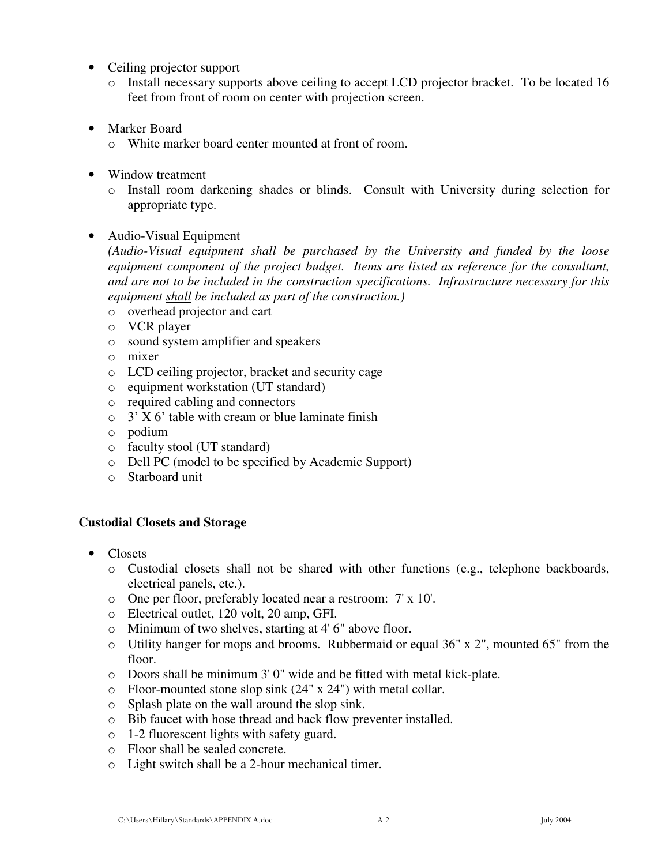- Ceiling projector support
	- o Install necessary supports above ceiling to accept LCD projector bracket. To be located 16 feet from front of room on center with projection screen.
- Marker Board
	- o White marker board center mounted at front of room.
- Window treatment
	- o Install room darkening shades or blinds. Consult with University during selection for appropriate type.
- Audio-Visual Equipment

*(Audio-Visual equipment shall be purchased by the University and funded by the loose equipment component of the project budget. Items are listed as reference for the consultant, and are not to be included in the construction specifications. Infrastructure necessary for this equipment shall be included as part of the construction.)* 

- o overhead projector and cart
- o VCR player
- o sound system amplifier and speakers
- o mixer
- o LCD ceiling projector, bracket and security cage
- o equipment workstation (UT standard)
- o required cabling and connectors
- $\circ$  3' X 6' table with cream or blue laminate finish
- o podium
- o faculty stool (UT standard)
- o Dell PC (model to be specified by Academic Support)
- o Starboard unit

# **Custodial Closets and Storage**

- Closets
	- o Custodial closets shall not be shared with other functions (e.g., telephone backboards, electrical panels, etc.).
	- o One per floor, preferably located near a restroom: 7' x 10'.
	- o Electrical outlet, 120 volt, 20 amp, GFI.
	- o Minimum of two shelves, starting at 4' 6" above floor.
	- o Utility hanger for mops and brooms. Rubbermaid or equal 36" x 2", mounted 65" from the floor.
	- o Doors shall be minimum 3' 0" wide and be fitted with metal kick-plate.
	- o Floor-mounted stone slop sink (24" x 24") with metal collar.
	- o Splash plate on the wall around the slop sink.
	- o Bib faucet with hose thread and back flow preventer installed.
	- o 1-2 fluorescent lights with safety guard.
	- o Floor shall be sealed concrete.
	- o Light switch shall be a 2-hour mechanical timer.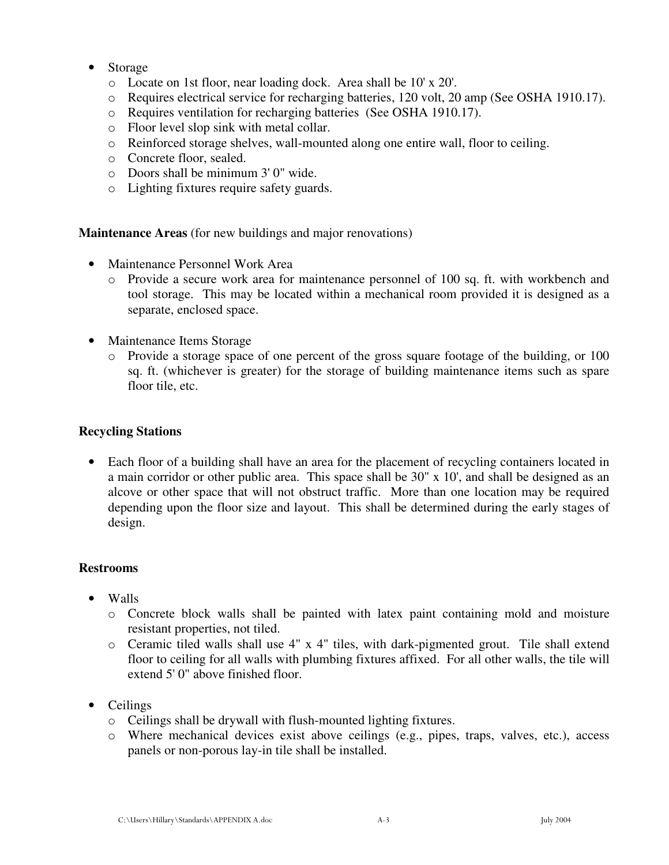- Storage
	- o Locate on 1st floor, near loading dock. Area shall be 10' x 20'.
	- o Requires electrical service for recharging batteries, 120 volt, 20 amp (See OSHA 1910.17).
	- o Requires ventilation for recharging batteries (See OSHA 1910.17).
	- o Floor level slop sink with metal collar.
	- o Reinforced storage shelves, wall-mounted along one entire wall, floor to ceiling.
	- o Concrete floor, sealed.
	- o Doors shall be minimum 3' 0" wide.
	- o Lighting fixtures require safety guards.

**Maintenance Areas** (for new buildings and major renovations)

- Maintenance Personnel Work Area
	- o Provide a secure work area for maintenance personnel of 100 sq. ft. with workbench and tool storage. This may be located within a mechanical room provided it is designed as a separate, enclosed space.
- Maintenance Items Storage
	- o Provide a storage space of one percent of the gross square footage of the building, or 100 sq. ft. (whichever is greater) for the storage of building maintenance items such as spare floor tile, etc.

#### **Recycling Stations**

• Each floor of a building shall have an area for the placement of recycling containers located in a main corridor or other public area. This space shall be 30" x 10', and shall be designed as an alcove or other space that will not obstruct traffic. More than one location may be required depending upon the floor size and layout. This shall be determined during the early stages of design.

### **Restrooms**

- Walls
	- o Concrete block walls shall be painted with latex paint containing mold and moisture resistant properties, not tiled.
	- o Ceramic tiled walls shall use 4" x 4" tiles, with dark-pigmented grout. Tile shall extend floor to ceiling for all walls with plumbing fixtures affixed. For all other walls, the tile will extend 5' 0" above finished floor.
- Ceilings
	- o Ceilings shall be drywall with flush-mounted lighting fixtures.
	- o Where mechanical devices exist above ceilings (e.g., pipes, traps, valves, etc.), access panels or non-porous lay-in tile shall be installed.